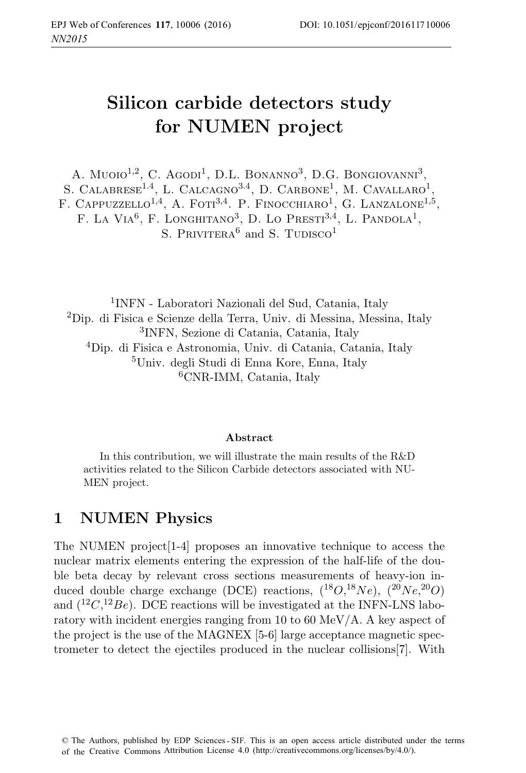# **Silicon carbide detectors study for NUMEN project**

A. Muoio<sup>1,2</sup>, C. Agodi<sup>1</sup>, D.L. Bonanno<sup>3</sup>, D.G. Bongiovanni<sup>3</sup>, S. CALABRESE<sup>1.4</sup>, L. CALCAGNO<sup>3.4</sup>, D. CARBONE<sup>1</sup>, M. CAVALLARO<sup>1</sup> F. CAPPUZZELLO<sup>1,4</sup>, A. FOTI<sup>3,4</sup>, P. FINOCCHIARO<sup>1</sup>, G. LANZALONE<sup>1,5</sup>, F. LA VIA<sup>6</sup>, F. LONGHITANO<sup>3</sup>, D. LO PRESTI<sup>3,4</sup>, L. PANDOLA<sup>1</sup>, S. PRIVITERA<sup>6</sup> and S. TUDISCO<sup>1</sup>

INFN - Laboratori Nazionali del Sud, Catania, Italy Dip. di Fisica e Scienze della Terra, Univ. di Messina, Messina, Italy INFN, Sezione di Catania, Catania, Italy Dip. di Fisica e Astronomia, Univ. di Catania, Catania, Italy Univ. degli Studi di Enna Kore, Enna, Italy CNR-IMM, Catania, Italy

#### Abstract

In this contribution, we will illustrate the main results of the R&D activities related to the Silicon Carbide detectors associated with NU-MEN project.

#### **1 NUMEN Physics**

The NUMEN project[1-4] proposes an innovative technique to access the nuclear matrix elements entering the expression of the half-life of the double beta decay by relevant cross sections measurements of heavy-ion induced double charge exchange (DCE) reactions,  $(^{18}O, ^{18}Ne)$ ,  $(^{20}Ne, ^{20}O)$ and  $(^{12}C, ^{12}Be)$ . DCE reactions will be investigated at the INFN-LNS laboratory with incident energies ranging from 10 to 60 MeV/A. A key aspect of the project is the use of the MAGNEX [5-6] large acceptance magnetic spectrometer to detect the ejectiles produced in the nuclear collisions[7]. With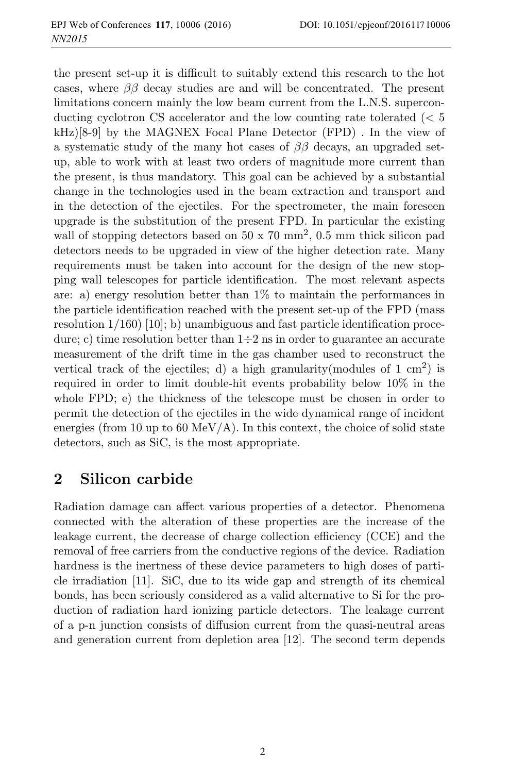the present set-up it is difficult to suitably extend this research to the hot cases, where  $\beta\beta$  decay studies are and will be concentrated. The present limitations concern mainly the low beam current from the L.N.S. superconducting cyclotron CS accelerator and the low counting rate tolerated (< 5  $kHz$ [8-9] by the MAGNEX Focal Plane Detector (FPD). In the view of a systematic study of the many hot cases of  $\beta\beta$  decays, an upgraded setup, able to work with at least two orders of magnitude more current than the present, is thus mandatory. This goal can be achieved by a substantial change in the technologies used in the beam extraction and transport and in the detection of the ejectiles. For the spectrometer, the main foreseen upgrade is the substitution of the present FPD. In particular the existing wall of stopping detectors based on  $50 \times 70 \text{ mm}^2$ , 0.5 mm thick silicon pad detectors needs to be upgraded in view of the higher detection rate. Many requirements must be taken into account for the design of the new stopping wall telescopes for particle identification. The most relevant aspects are: a) energy resolution better than 1% to maintain the performances in the particle identification reached with the present set-up of the FPD (mass resolution  $1/160$  [10]; b) unambiguous and fast particle identification procedure; c) time resolution better than  $1\div 2$  ns in order to guarantee an accurate measurement of the drift time in the gas chamber used to reconstruct the vertical track of the ejectiles; d) a high granularity(modules of  $1 \text{ cm}^2$ ) is required in order to limit double-hit events probability below 10% in the whole FPD; e) the thickness of the telescope must be chosen in order to permit the detection of the ejectiles in the wide dynamical range of incident energies (from 10 up to 60 MeV/A). In this context, the choice of solid state detectors, such as SiC, is the most appropriate.

### **2 Silicon carbide**

Radiation damage can affect various properties of a detector. Phenomena connected with the alteration of these properties are the increase of the leakage current, the decrease of charge collection efficiency (CCE) and the removal of free carriers from the conductive regions of the device. Radiation hardness is the inertness of these device parameters to high doses of particle irradiation [11]. SiC, due to its wide gap and strength of its chemical bonds, has been seriously considered as a valid alternative to Si for the production of radiation hard ionizing particle detectors. The leakage current of a p-n junction consists of diffusion current from the quasi-neutral areas and generation current from depletion area [12]. The second term depends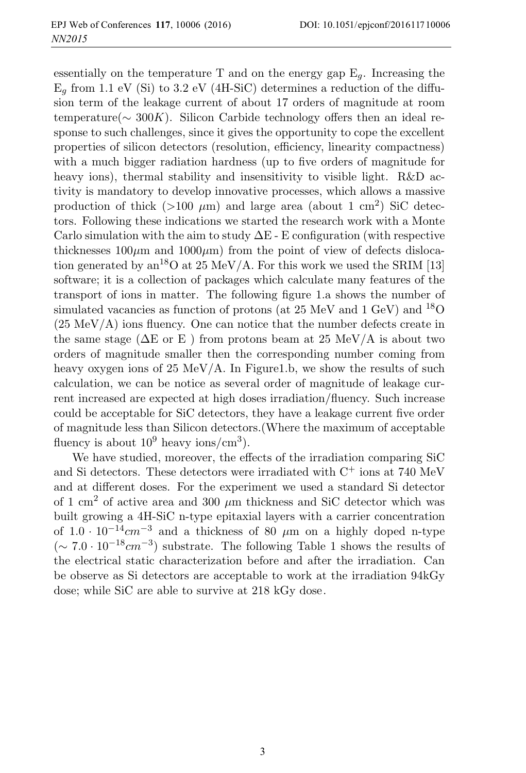essentially on the temperature T and on the energy gap  $E_a$ . Increasing the  $E_q$  from 1.1 eV (Si) to 3.2 eV (4H-SiC) determines a reduction of the diffusion term of the leakage current of about 17 orders of magnitude at room temperature( $\sim 300K$ ). Silicon Carbide technology offers then an ideal response to such challenges, since it gives the opportunity to cope the excellent properties of silicon detectors (resolution, efficiency, linearity compactness) with a much bigger radiation hardness (up to five orders of magnitude for heavy ions), thermal stability and insensitivity to visible light. R&D activity is mandatory to develop innovative processes, which allows a massive production of thick ( $>100 \mu$ m) and large area (about 1 cm<sup>2</sup>) SiC detectors. Following these indications we started the research work with a Monte Carlo simulation with the aim to study  $\Delta E$  - E configuration (with respective thicknesses  $100\mu$ m and  $1000\mu$ m) from the point of view of defects dislocation generated by an<sup>18</sup>O at 25 MeV/A. For this work we used the SRIM [13] software; it is a collection of packages which calculate many features of the transport of ions in matter. The following figure 1.a shows the number of simulated vacancies as function of protons (at  $25 \text{ MeV}$  and  $1 \text{ GeV}$ ) and  $18 \text{ O}$  $(25 \text{ MeV/A})$  ions fluency. One can notice that the number defects create in the same stage ( $\Delta E$  or E) from protons beam at 25 MeV/A is about two orders of magnitude smaller then the corresponding number coming from heavy oxygen ions of  $25 \text{ MeV/A}$ . In Figure1.b, we show the results of such calculation, we can be notice as several order of magnitude of leakage current increased are expected at high doses irradiation/fluency. Such increase could be acceptable for SiC detectors, they have a leakage current five order of magnitude less than Silicon detectors.(Where the maximum of acceptable fluency is about  $10^9$  heavy ions/cm<sup>3</sup>).

We have studied, moreover, the effects of the irradiation comparing SiC and Si detectors. These detectors were irradiated with  $C^+$  ions at 740 MeV and at different doses. For the experiment we used a standard Si detector of 1 cm<sup>2</sup> of active area and 300  $\mu$ m thickness and SiC detector which was built growing a 4H-SiC n-type epitaxial layers with a carrier concentration of  $1.0 \cdot 10^{-14}$ cm<sup>-3</sup> and a thickness of 80 μm on a highly doped n-type  $({\sim 7.0 \cdot 10^{-18} cm^{-3}})$  substrate. The following Table 1 shows the results of the electrical static characterization before and after the irradiation. Can be observe as Si detectors are acceptable to work at the irradiation 94kGy dose; while SiC are able to survive at 218 kGy dose.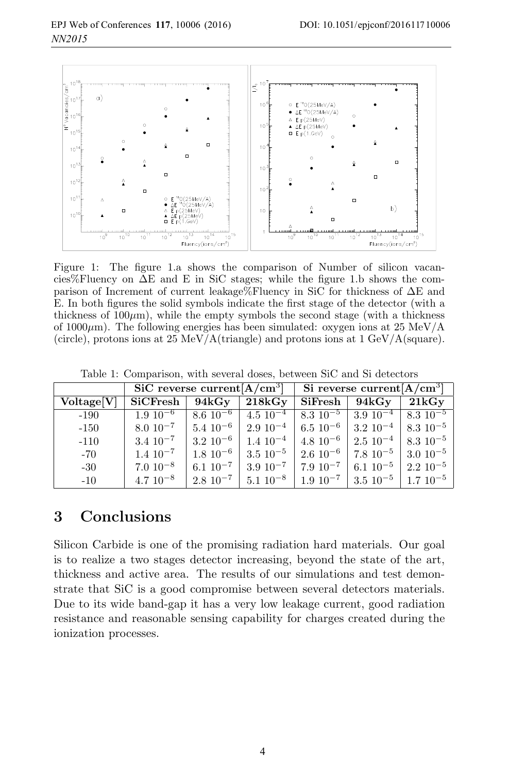

Figure 1: The figure 1.a shows the comparison of Number of silicon vacancies%Fluency on  $\Delta E$  and E in SiC stages; while the figure 1.b shows the comparison of Increment of current leakage%Fluency in SiC for thickness of ΔE and E. In both figures the solid symbols indicate the first stage of the detector (with a thickness of  $100\mu$ m), while the empty symbols the second stage (with a thickness of 1000 $\mu$ m). The following energies has been simulated: oxygen ions at 25 MeV/A (circle), protons ions at 25 MeV/A(triangle) and protons ions at 1 GeV/A(square).

|  |  |  | Table 1: Comparison, with several doses, between SiC and Si detectors |  |  |  |
|--|--|--|-----------------------------------------------------------------------|--|--|--|
|--|--|--|-----------------------------------------------------------------------|--|--|--|

|                        | SiC reverse current $[A/cm^3]$ |                  |                  | Si reverse current $[A/\overline{cm}^3]$ |                                                                |                  |  |
|------------------------|--------------------------------|------------------|------------------|------------------------------------------|----------------------------------------------------------------|------------------|--|
| Voltage <sup>[V]</sup> | <b>SiCFresh</b>                | 94kGy            | 218kGy           | SiFresh                                  | 94kGy                                                          | 21kGy            |  |
| $-190$                 | $1.\overline{9\ 10^{-6}}$      | $8.6\;10^{-6}$   | $4.5 \; 10^{-4}$ | $8.\overline{3}.\overline{10^{-5}}$      | $3.910^{-4}$                                                   | $+8.310^{-5}$    |  |
| $-150$                 | $8.0 \; 10^{-7}$               | $5.4 \; 10^{-6}$ |                  |                                          | $2.9\ 10^{-4}$   6.5 $10^{-6}$   3.2 $10^{-4}$   8.3 $10^{-5}$ |                  |  |
| $-110$                 | $3.4 \; 10^{-7}$               | $3.2~10^{-6}$    | $1.4 \; 10^{-4}$ |                                          | $4.8\;10^{-6}$   2.5 $10^{-4}$                                 | $8.3 \; 10^{-5}$ |  |
| $-70$                  | $1.4 \, 10^{-7}$               | $1.8 \; 10^{-6}$ | $3.5 \; 10^{-5}$ | $\frac{1}{2.6}$ 10 <sup>-6</sup> $\pm$   | $\frac{1}{2}$ 7.8 10 <sup>-5</sup> $\pm$                       | $3.0 \; 10^{-5}$ |  |
| $-30$                  | $7.0 \, 10^{-8}$               | $6.1 \ 10^{-7}$  | $3.9 \ 10^{-7}$  | $17.9 \; 10^{-7}$                        | $6.1 \text{ } 10^{-5}$                                         | $2.2~10^{-5}$    |  |
| $-10$                  | $4.7 \; 10^{-8}$               | $2.8 \; 10^{-7}$ | $5.1 \ 10^{-8}$  | $1.9 \ 10^{-7}$                          | $\frac{1}{3.5}$ $10^{-5}$                                      | $1.710^{-5}$     |  |

### **3 Conclusions**

Silicon Carbide is one of the promising radiation hard materials. Our goal is to realize a two stages detector increasing, beyond the state of the art, thickness and active area. The results of our simulations and test demonstrate that SiC is a good compromise between several detectors materials. Due to its wide band-gap it has a very low leakage current, good radiation resistance and reasonable sensing capability for charges created during the ionization processes.